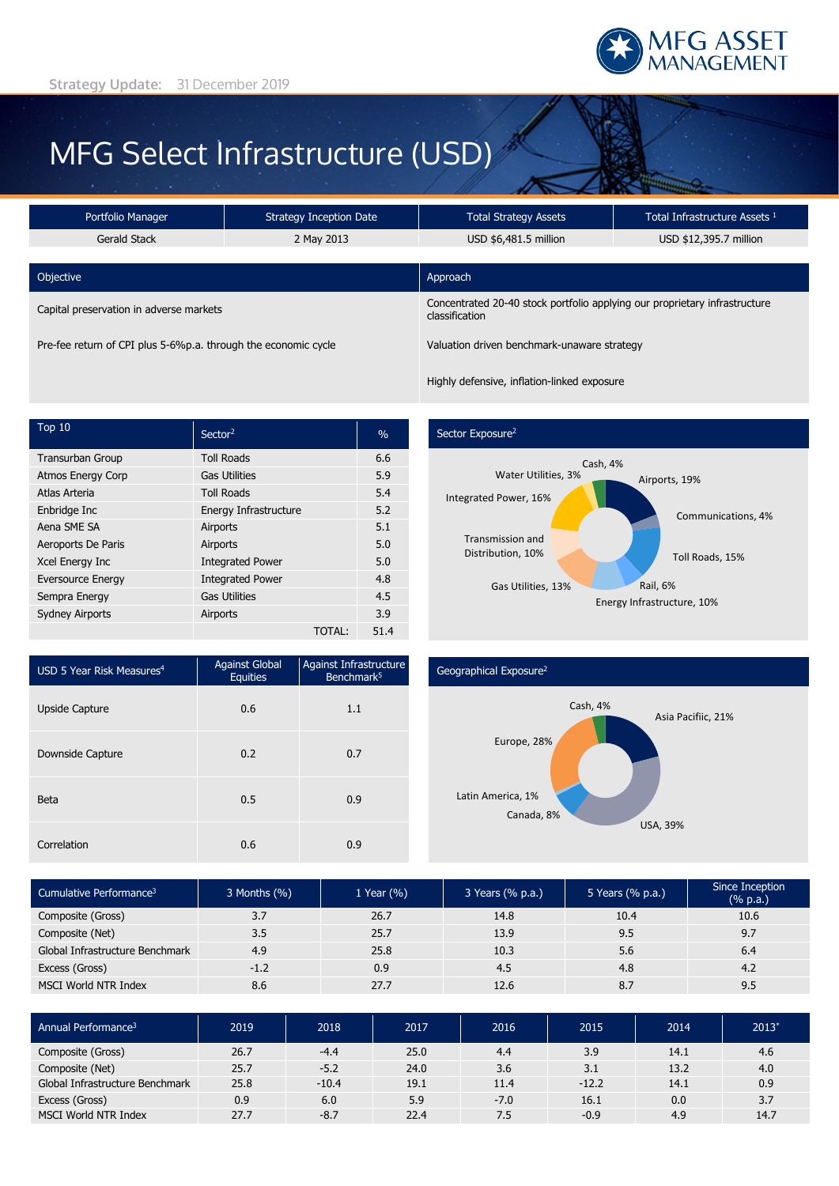

# MFG Select Infrastructure (USD)

| Portfolio Manager                                              | <b>Strategy Inception Date</b> | <b>Total Strategy Assets</b>                                                                 | Total Infrastructure Assets <sup>1</sup> |  |
|----------------------------------------------------------------|--------------------------------|----------------------------------------------------------------------------------------------|------------------------------------------|--|
| Gerald Stack                                                   | 2 May 2013                     | USD \$6,481.5 million                                                                        | USD \$12,395.7 million                   |  |
| Objective                                                      |                                | Approach                                                                                     |                                          |  |
| Capital preservation in adverse markets                        |                                | Concentrated 20-40 stock portfolio applying our proprietary infrastructure<br>classification |                                          |  |
| Pre-fee return of CPI plus 5-6%p.a. through the economic cycle |                                | Valuation driven benchmark-unaware strategy                                                  |                                          |  |

 $\sqrt{10}$  Sector<sup>2</sup>  $\sqrt{10}$   $\sqrt{2}$ Transurban Group Toll Roads 6.6 Atmos Energy Corp Gas Utilities 5.9 Atlas Arteria **1988** Toll Roads 5.4 Enbridge Inc **Energy Infrastructure** 5.2 Aena SME SA **Airports** 5.1 Aeroports De Paris **Airports 6.0** Airports 5.0 Xcel Energy Inc **Integrated Power** 5.0 Eversource Energy **Integrated Power 4.8** Sempra Energy Gas Utilities **Gas Utilities** 4.5 Sydney Airports **Airports** Airports 3.9 TOTAL: 51.4

## Sector Exposure<sup>2</sup>

Highly defensive, inflation-linked exposure



| USD 5 Year Risk Measures <sup>4</sup> | <b>Against Global</b><br><b>Equities</b> | Against Infrastructure<br>Benchmark <sup>5</sup> |  |
|---------------------------------------|------------------------------------------|--------------------------------------------------|--|
| <b>Upside Capture</b>                 | 0.6                                      | 1.1                                              |  |
| Downside Capture                      | 0.2                                      | 0.7                                              |  |
| <b>Beta</b>                           | 0.5                                      | 0.9                                              |  |
| Correlation                           | 0.6                                      | 0.9                                              |  |

### Geographical Exposure2



| Cumulative Performance <sup>3</sup> | 3 Months (%) | 1 Year $(\% )$ | 3 Years (% p.a.) | 5 Years (% p.a.) | Since Inception<br>(% p.a.) |
|-------------------------------------|--------------|----------------|------------------|------------------|-----------------------------|
| Composite (Gross)                   | 3.7          | 26.7           | 14.8             | 10.4             | 10.6                        |
| Composite (Net)                     | 3.5          | 25.7           | 13.9             | 9.5              | 9.7                         |
| Global Infrastructure Benchmark     | 4.9          | 25.8           | 10.3             | 5.6              | 6.4                         |
| Excess (Gross)                      | $-1.2$       | 0.9            | 4.5              | 4.8              | 4.2                         |
| MSCI World NTR Index                | 8.6          | 27.7           | 12.6             | 8.7              | 9.5                         |

| Annual Performance <sup>3</sup> | 2019 | 2018    | 2017 | 2016   | 2015    | 2014 | $2013^{\circ}$ |
|---------------------------------|------|---------|------|--------|---------|------|----------------|
| Composite (Gross)               | 26.7 | $-4.4$  | 25.0 | 4.4    | 3.9     | 14.1 | 4.6            |
| Composite (Net)                 | 25.7 | $-5.2$  | 24.0 | 3.6    | 3.1     | 13.2 | 4.0            |
| Global Infrastructure Benchmark | 25.8 | $-10.4$ | 19.1 | 11.4   | $-12.2$ | 14.1 | 0.9            |
| Excess (Gross)                  | 0.9  | 6.0     | 5.9  | $-7.0$ | 16.1    | 0.0  | 3.7            |
| <b>MSCI World NTR Index</b>     | 27.7 | $-8.7$  | 22.4 | 7.5    | $-0.9$  | 4.9  | 14.7           |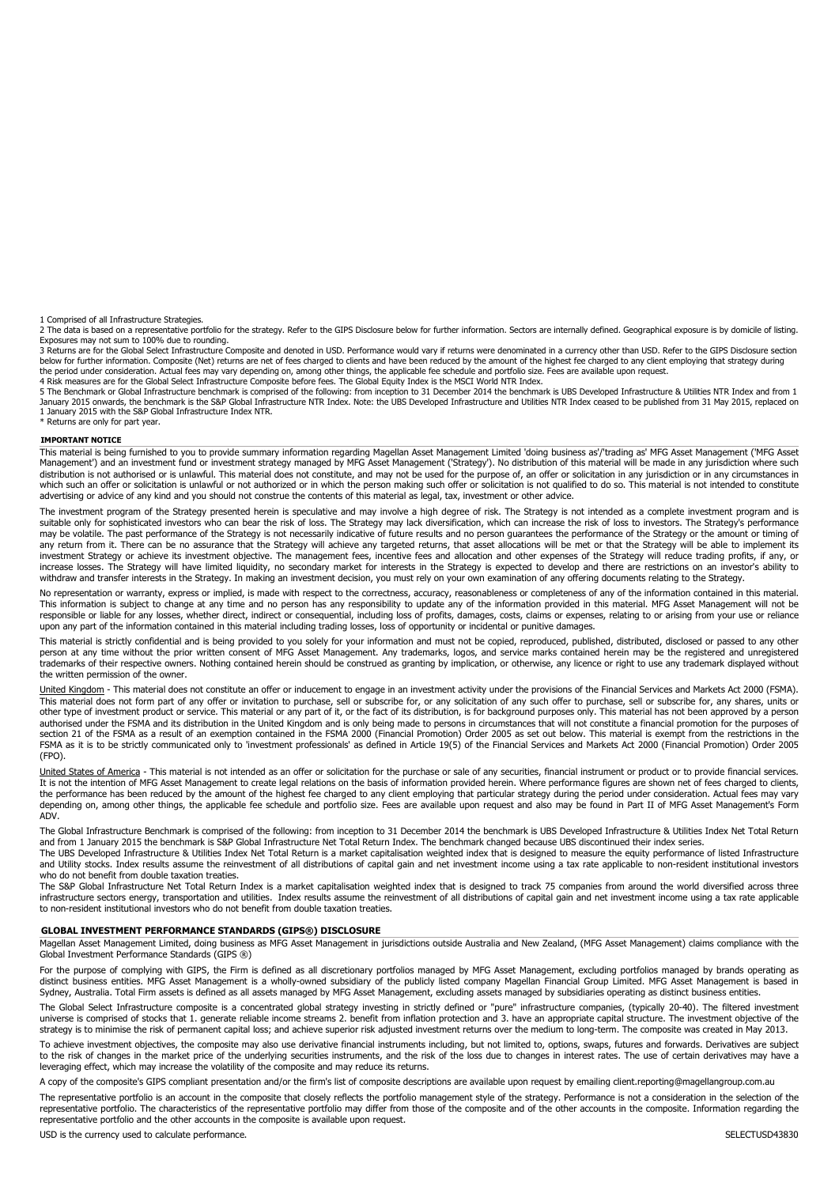1 Comprised of all Infrastructure Strategies.

2 The data is based on a representative portfolio for the strategy. Refer to the GIPS Disclosure below for further information. Sectors are internally defined. Geographical exposure is by domicile of listing.<br>Exposures may

3 Returns are for the Global Select Infrastructure Composite and denoted in USD. Performance would vary if returns were denominated in a currency other than USD. Refer to the GIPS Disclosure section below for further information. Composite (Net) returns are net of fees charged to clients and have been reduced by the amount of the highest fee charged to any client employing that strategy during the period under consideration. Actual fees may vary depending on, among other things, the applicable fee schedule and portfolio size. Fees are available upon request 4 Risk measures are for the Global Select Infrastructure Composite before fees. The Global Equity Index is the MSCI World NTR Index.

5 The Benchmark or Global Infrastructure benchmark is comprised of the following: from inception to 31 December 2014 the benchmark is UBS Developed Infrastructure & Utilities NTR Index and from 1 January 2015 onwards, the benchmark is the S&P Global Infrastructure NTR Index. Note: the UBS Developed Infrastructure and Utilities NTR Index ceased to be published from 31 May 2015, replaced on 1 January 2015 with the S&P Global Infrastructure Index NTR. \* Returns are only for part year.

#### **IMPORTANT NOTICE**

This material is being furnished to you to provide summary information regarding Magellan Asset Management Limited 'doing business as'/'trading as' MFG Asset Management ('MFG Asset Management') and an investment fund or investment strategy managed by MFG Asset Management ('Strategy'). No distribution of this material will be made in any jurisdiction where such distribution is not authorised or is unlawful. This material does not constitute, and may not be used for the purpose of, an offer or solicitation in any jurisdiction or in any circumstances in which such an offer or solicitation is unlawful or not authorized or in which the person making such offer or solicitation is not qualified to do so. This material is not intended to constitute advertising or advice of any kind and you should not construe the contents of this material as legal, tax, investment or other advice.

The investment program of the Strategy presented herein is speculative and may involve a high degree of risk. The Strategy is not intended as a complete investment program and is<br>suitable only for sophisticated investors w may be volatile. The past performance of the Strategy is not necessarily indicative of future results and no person guarantees the performance of the Strategy or the amount or timing of any return from it. There can be no assurance that the Strategy will achieve any targeted returns, that asset allocations will be met or that the Strategy will be able to implement its investment Strategy or achieve its investment objective. The management fees, incentive fees and allocation and other expenses of the Strategy will reduce trading profits, if any, or increase losses. The Strategy will have limited liquidity, no secondary market for interests in the Strategy is expected to develop and there are restrictions on an investor's ability to withdraw and transfer interests in the Strategy. In making an investment decision, you must rely on your own examination of any offering documents relating to the Strategy.

No representation or warranty, express or implied, is made with respect to the correctness, accuracy, reasonableness or completeness of any of the information contained in this material. This information is subject to change at any time and no person has any responsibility to update any of the information provided in this material. MFG Asset Management will not be responsible or liable for any losses, whether direct, indirect or consequential, including loss of profits, damages, costs, claims or expenses, relating to or arising from your use or reliance upon any part of the information contained in this material including trading losses, loss of opportunity or incidental or punitive damages.

This material is strictly confidential and is being provided to you solely for your information and must not be copied, reproduced, published, distributed, disclosed or passed to any other<br>person at any time without the pr trademarks of their respective owners. Nothing contained herein should be construed as granting by implication, or otherwise, any licence or right to use any trademark displayed without the written permission of the owner.

United Kingdom - This material does not constitute an offer or inducement to engage in an investment activity under the provisions of the Financial Services and Markets Act 2000 (FSMA). This material does not form part of any offer or invitation to purchase, sell or subscribe for, or any solicitation of any such offer to purchase, sell or subscribe for, any shares, units or other type of investment product or service. This material or any part of it, or the fact of its distribution, is for background purposes only. This material has not been approved by a person authorised under the FSMA and its distribution in the United Kingdom and is only being made to persons in circumstances that will not constitute a financial promotion for the purposes of section 21 of the FSMA as a result of an exemption contained in the FSMA 2000 (Financial Promotion) Order 2005 as set out below. This material is exempt from the restrictions in the FSMA as it is to be strictly communicated only to 'investment professionals' as defined in Article 19(5) of the Financial Services and Markets Act 2000 (Financial Promotion) Order 2005 (FPO).

United States of America - This material is not intended as an offer or solicitation for the purchase or sale of any securities, financial instrument or product or to provide financial services. It is not the intention of MFG Asset Management to create legal relations on the basis of information provided herein. Where performance figures are shown net of fees charged to clients, the performance has been reduced by the amount of the highest fee charged to any client employing that particular strategy during the period under consideration. Actual fees may vary depending on, among other things, the applicable fee schedule and portfolio size. Fees are available upon request and also may be found in Part II of MFG Asset Management's Form ADV.

The Global Infrastructure Benchmark is comprised of the following: from inception to 31 December 2014 the benchmark is UBS Developed Infrastructure & Utilities Index Net Total Return and from 1 January 2015 the benchmark is S&P Global Infrastructure Net Total Return Index. The benchmark changed because UBS discontinued their index series.

The UBS Developed Infrastructure & Utilities Index Net Total Return is a market capitalisation weighted index that is designed to measure the equity performance of listed Infrastructure and Utility stocks. Index results assume the reinvestment of all distributions of capital gain and net investment income using a tax rate applicable to non-resident institutional investors who do not benefit from double taxation treaties.

The S&P Global Infrastructure Net Total Return Index is a market capitalisation weighted index that is designed to track 75 companies from around the world diversified across three infrastructure sectors energy, transportation and utilities. Index results assume the reinvestment of all distributions of capital gain and net investment income using a tax rate applicable to non-resident institutional investors who do not benefit from double taxation treaties.

#### **GLOBAL INVESTMENT PERFORMANCE STANDARDS (GIPS®) DISCLOSURE**

Magellan Asset Management Limited, doing business as MFG Asset Management in jurisdictions outside Australia and New Zealand, (MFG Asset Management) claims compliance with the Global Investment Performance Standards (GIPS ®)

For the purpose of complying with GIPS, the Firm is defined as all discretionary portfolios managed by MFG Asset Management, excluding portfolios managed by brands operating as<br>distinct business entities. MFG Asset Managem Sydney, Australia. Total Firm assets is defined as all assets managed by MFG Asset Management, excluding assets managed by subsidiaries operating as distinct business entities.

The Global Select Infrastructure composite is a concentrated global strategy investing in strictly defined or "pure" infrastructure companies, (typically 20-40). The filtered investment universe is comprised of stocks that 1. generate reliable income streams 2. benefit from inflation protection and 3. have an appropriate capital structure. The investment objective of the strategy is to minimise the risk of permanent capital loss; and achieve superior risk adjusted investment returns over the medium to long-term. The composite was created in May 2013.

To achieve investment objectives, the composite may also use derivative financial instruments including, but not limited to, options, swaps, futures and forwards. Derivatives are subject<br>to the risk of changes in the marke leveraging effect, which may increase the volatility of the composite and may reduce its returns.

A copy of the composite's GIPS compliant presentation and/or the firm's list of composite descriptions are available upon request by emailing client.reporting@magellangroup.com.au

The representative portfolio is an account in the composite that closely reflects the portfolio management style of the strategy. Performance is not a consideration in the selection of the representative portfolio. The characteristics of the representative portfolio may differ from those of the composite and of the other accounts in the composite. Information regarding the representative portfolio and the other accounts in the composite is available upon request.

USD is the currency used to calculate performance. The currency of the currency used to calculate performance.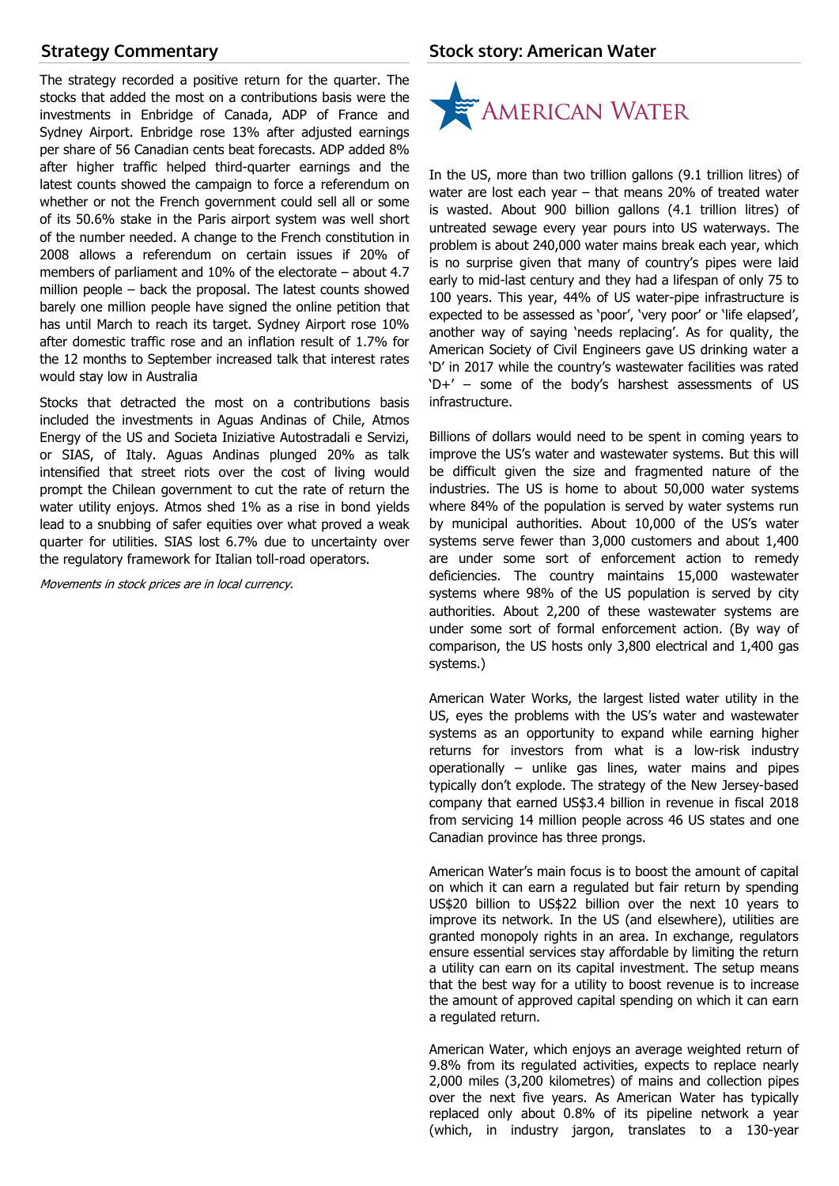# **Strategy Commentary**

The strategy recorded a positive return for the quarter. The stocks that added the most on a contributions basis were the investments in Enbridge of Canada, ADP of France and Sydney Airport. Enbridge rose 13% after adjusted earnings per share of 56 Canadian cents beat forecasts. ADP added 8% after higher traffic helped third-quarter earnings and the latest counts showed the campaign to force a referendum on whether or not the French government could sell all or some of its 50.6% stake in the Paris airport system was well short of the number needed. A change to the French constitution in 2008 allows a referendum on certain issues if 20% of members of parliament and 10% of the electorate – about 4.7 million people – back the proposal. The latest counts showed barely one million people have signed the online petition that has until March to reach its target. Sydney Airport rose 10% after domestic traffic rose and an inflation result of 1.7% for the 12 months to September increased talk that interest rates would stay low in Australia

Stocks that detracted the most on a contributions basis included the investments in Aguas Andinas of Chile, Atmos Energy of the US and Societa Iniziative Autostradali e Servizi, or SIAS, of Italy. Aguas Andinas plunged 20% as talk intensified that street riots over the cost of living would prompt the Chilean government to cut the rate of return the water utility enjoys. Atmos shed 1% as a rise in bond yields lead to a snubbing of safer equities over what proved a weak quarter for utilities. SIAS lost 6.7% due to uncertainty over the regulatory framework for Italian toll-road operators.

Movements in stock prices are in local currency.

## **Stock story: American Water**



In the US, more than two trillion gallons (9.1 trillion litres) of water are lost each year – that means 20% of treated water is wasted. About 900 billion gallons (4.1 trillion litres) of untreated sewage every year pours into US waterways. The problem is about 240,000 water mains break each year, which is no surprise given that many of country's pipes were laid early to mid-last century and they had a lifespan of only 75 to 100 years. This year, 44% of US water-pipe infrastructure is expected to be assessed as 'poor', 'very poor' or 'life elapsed', another way of saying 'needs replacing'. As for quality, the American Society of Civil Engineers gave US drinking water a 'D' in 2017 while the country's wastewater facilities was rated 'D+' – some of the body's harshest assessments of US infrastructure.

Billions of dollars would need to be spent in coming years to improve the US's water and wastewater systems. But this will be difficult given the size and fragmented nature of the industries. The US is home to about 50,000 water systems where 84% of the population is served by water systems run by municipal authorities. About 10,000 of the US's water systems serve fewer than 3,000 customers and about 1,400 are under some sort of enforcement action to remedy deficiencies. The country maintains 15,000 wastewater systems where 98% of the US population is served by city authorities. About 2,200 of these wastewater systems are under some sort of formal enforcement action. (By way of comparison, the US hosts only 3,800 electrical and 1,400 gas systems.)

American Water Works, the largest listed water utility in the US, eyes the problems with the US's water and wastewater systems as an opportunity to expand while earning higher returns for investors from what is a low-risk industry operationally – unlike gas lines, water mains and pipes typically don't explode. The strategy of the New Jersey-based company that earned US\$3.4 billion in revenue in fiscal 2018 from servicing 14 million people across 46 US states and one Canadian province has three prongs.

American Water's main focus is to boost the amount of capital on which it can earn a regulated but fair return by spending US\$20 billion to US\$22 billion over the next 10 years to improve its network. In the US (and elsewhere), utilities are granted monopoly rights in an area. In exchange, regulators ensure essential services stay affordable by limiting the return a utility can earn on its capital investment. The setup means that the best way for a utility to boost revenue is to increase the amount of approved capital spending on which it can earn a regulated return.

American Water, which enjoys an average weighted return of 9.8% from its regulated activities, expects to replace nearly 2,000 miles (3,200 kilometres) of mains and collection pipes over the next five years. As American Water has typically replaced only about 0.8% of its pipeline network a year (which, in industry jargon, translates to a 130-year